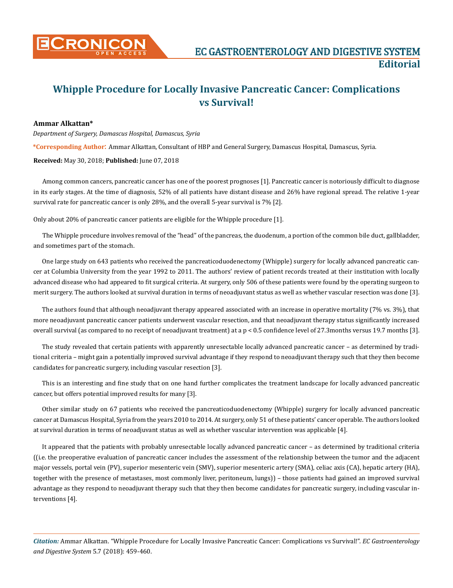

## **Whipple Procedure for Locally Invasive Pancreatic Cancer: Complications vs Survival!**

## **Ammar Alkattan\***

*Department of Surgery, Damascus Hospital, Damascus, Syria*

**\*Corresponding Author**: Ammar Alkattan, Consultant of HBP and General Surgery, Damascus Hospital, Damascus, Syria.

**Received:** May 30, 2018; **Published:** June 07, 2018

Among common cancers, pancreatic cancer has one of the poorest prognoses [1]. Pancreatic cancer is notoriously difficult to diagnose in its early stages. At the time of diagnosis, 52% of all patients have distant disease and 26% have regional spread. The relative 1-year survival rate for pancreatic cancer is only 28%, and the overall 5-year survival is 7% [2].

Only about 20% of pancreatic cancer patients are eligible for the Whipple procedure [1].

The Whipple procedure involves removal of the "head" of the pancreas, the duodenum, a portion of the common bile duct, gallbladder, and sometimes part of the stomach.

One large study on 643 patients who received the pancreaticoduodenectomy (Whipple) surgery for locally advanced pancreatic cancer at Columbia University from the year 1992 to 2011. The authors' review of patient records treated at their institution with locally advanced disease who had appeared to fit surgical criteria. At surgery, only 506 of these patients were found by the operating surgeon to merit surgery. The authors looked at survival duration in terms of neoadjuvant status as well as whether vascular resection was done [3].

The authors found that although neoadjuvant therapy appeared associated with an increase in operative mortality (7% vs. 3%), that more neoadjuvant pancreatic cancer patients underwent vascular resection, and that neoadjuvant therapy status significantly increased overall survival (as compared to no receipt of neoadjuvant treatment) at a p < 0.5 confidence level of 27.3months versus 19.7 months [3].

The study revealed that certain patients with apparently unresectable locally advanced pancreatic cancer – as determined by traditional criteria – might gain a potentially improved survival advantage if they respond to neoadjuvant therapy such that they then become candidates for pancreatic surgery, including vascular resection [3].

This is an interesting and fine study that on one hand further complicates the treatment landscape for locally advanced pancreatic cancer, but offers potential improved results for many [3].

Other similar study on 67 patients who received the pancreaticoduodenectomy (Whipple) surgery for locally advanced pancreatic cancer at Damascus Hospital, Syria from the years 2010 to 2014. At surgery, only 51 of these patients' cancer operable. The authors looked at survival duration in terms of neoadjuvant status as well as whether vascular intervention was applicable [4].

It appeared that the patients with probably unresectable locally advanced pancreatic cancer – as determined by traditional criteria ((i.e. the preoperative evaluation of pancreatic cancer includes the assessment of the relationship between the tumor and the adjacent major vessels, portal vein (PV), superior mesenteric vein (SMV), superior mesenteric artery (SMA), celiac axis (CA), hepatic artery (HA), together with the presence of metastases, most commonly liver, peritoneum, lungs)) – those patients had gained an improved survival advantage as they respond to neoadjuvant therapy such that they then become candidates for pancreatic surgery, including vascular interventions [4].

*Citation:* Ammar Alkattan. "Whipple Procedure for Locally Invasive Pancreatic Cancer: Complications vs Survival!". *EC Gastroenterology and Digestive System* 5.7 (2018): 459-460.